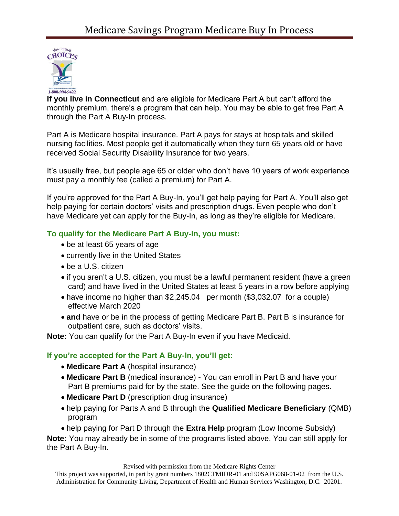

**If you live in Connecticut** and are eligible for Medicare Part A but can't afford the monthly premium, there's a program that can help. You may be able to get free Part A through the Part A Buy-In process.

Part A is Medicare hospital insurance. Part A pays for stays at hospitals and skilled nursing facilities. Most people get it automatically when they turn 65 years old or have received Social Security Disability Insurance for two years.

It's usually free, but people age 65 or older who don't have 10 years of work experience must pay a monthly fee (called a premium) for Part A.

If you're approved for the Part A Buy-In, you'll get help paying for Part A. You'll also get help paying for certain doctors' visits and prescription drugs. Even people who don't have Medicare yet can apply for the Buy-In, as long as they're eligible for Medicare.

# **To qualify for the Medicare Part A Buy-In, you must:**

- be at least 65 years of age
- currently live in the United States
- be a U.S. citizen
- if you aren't a U.S. citizen, you must be a lawful permanent resident (have a green card) and have lived in the United States at least 5 years in a row before applying
- have income no higher than  $$2,245.04$  per month  $$3,032.07$  for a couple) effective March 2020
- **and** have or be in the process of getting Medicare Part B. Part B is insurance for outpatient care, such as doctors' visits.

**Note:** You can qualify for the Part A Buy-In even if you have Medicaid.

## **If you're accepted for the Part A Buy-In, you'll get:**

- **Medicare Part A** (hospital insurance)
- **Medicare Part B** (medical insurance) You can enroll in Part B and have your Part B premiums paid for by the state. See the guide on the following pages.
- **Medicare Part D** (prescription drug insurance)
- help paying for Parts A and B through the **Qualified Medicare Beneficiary** (QMB) program
- help paying for Part D through the **Extra Help** program (Low Income Subsidy)

**Note:** You may already be in some of the programs listed above. You can still apply for the Part A Buy-In.

Revised with permission from the Medicare Rights Center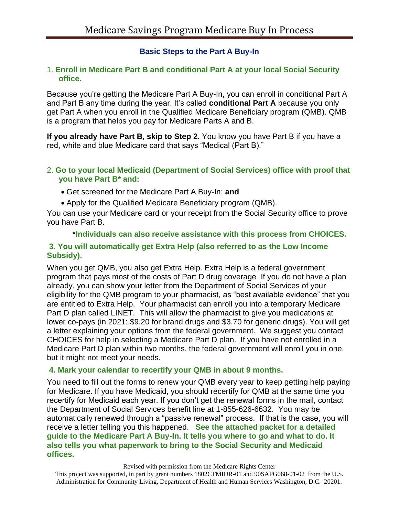## **Basic Steps to the Part A Buy-In**

### 1. **Enroll in Medicare Part B and conditional Part A at your local Social Security office.**

Because you're getting the Medicare Part A Buy-In, you can enroll in conditional Part A and Part B any time during the year. It's called **conditional Part A** because you only get Part A when you enroll in the Qualified Medicare Beneficiary program (QMB). QMB is a program that helps you pay for Medicare Parts A and B.

**If you already have Part B, skip to Step 2.** You know you have Part B if you have a red, white and blue Medicare card that says "Medical (Part B)."

#### 2. **Go to your local Medicaid (Department of Social Services) office with proof that you have Part B\* and:**

- Get screened for the Medicare Part A Buy-In; **and**
- Apply for the Qualified Medicare Beneficiary program (QMB).

You can use your Medicare card or your receipt from the Social Security office to prove you have Part B.

## \***Individuals can also receive assistance with this process from CHOICES. 3. You will automatically get Extra Help (also referred to as the Low Income Subsidy).**

When you get QMB, you also get Extra Help. Extra Help is a federal government program that pays most of the costs of Part D drug coverage If you do not have a plan already, you can show your letter from the Department of Social Services of your eligibility for the QMB program to your pharmacist, as "best available evidence" that you are entitled to Extra Help. Your pharmacist can enroll you into a temporary Medicare Part D plan called LINET. This will allow the pharmacist to give you medications at lower co-pays (in 2021: \$9.20 for brand drugs and \$3.70 for generic drugs). You will get a letter explaining your options from the federal government. We suggest you contact CHOICES for help in selecting a Medicare Part D plan. If you have not enrolled in a Medicare Part D plan within two months, the federal government will enroll you in one, but it might not meet your needs.

## **4. Mark your calendar to recertify your QMB in about 9 months.**

You need to fill out the forms to renew your QMB every year to keep getting help paying for Medicare. If you have Medicaid, you should recertify for QMB at the same time you recertify for Medicaid each year. If you don't get the renewal forms in the mail, contact the Department of Social Services benefit line at 1-855-626-6632. You may be automatically renewed through a "passive renewal" process. If that is the case, you will receive a letter telling you this happened. **See the attached packet for a detailed guide to the Medicare Part A Buy-In. It tells you where to go and what to do. It also tells you what paperwork to bring to the Social Security and Medicaid offices.**

#### Revised with permission from the Medicare Rights Center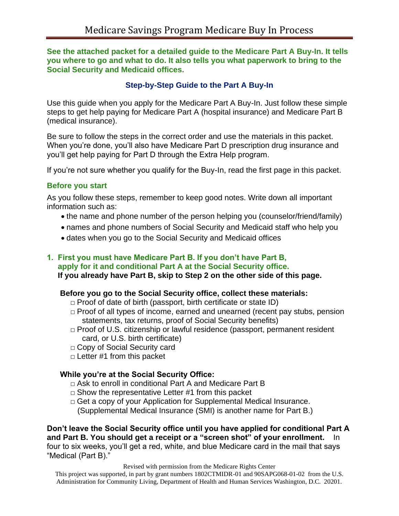**See the attached packet for a detailed guide to the Medicare Part A Buy-In. It tells you where to go and what to do. It also tells you what paperwork to bring to the Social Security and Medicaid offices.**

## **Step-by-Step Guide to the Part A Buy-In**

Use this guide when you apply for the Medicare Part A Buy-In. Just follow these simple steps to get help paying for Medicare Part A (hospital insurance) and Medicare Part B (medical insurance).

Be sure to follow the steps in the correct order and use the materials in this packet. When you're done, you'll also have Medicare Part D prescription drug insurance and you'll get help paying for Part D through the Extra Help program.

If you're not sure whether you qualify for the Buy-In, read the first page in this packet.

## **Before you start**

As you follow these steps, remember to keep good notes. Write down all important information such as:

- the name and phone number of the person helping you (counselor/friend/family)
- names and phone numbers of Social Security and Medicaid staff who help you
- dates when you go to the Social Security and Medicaid offices

## **1. First you must have Medicare Part B. If you don't have Part B,**

 **apply for it and conditional Part A at the Social Security office. If you already have Part B, skip to Step 2 on the other side of this page.**

## **Before you go to the Social Security office, collect these materials:**

- $\Box$  Proof of date of birth (passport, birth certificate or state ID)
- $\Box$  Proof of all types of income, earned and unearned (recent pay stubs, pension statements, tax returns, proof of Social Security benefits)
- $\Box$  Proof of U.S. citizenship or lawful residence (passport, permanent resident card, or U.S. birth certificate)
- □ Copy of Social Security card
- $\Box$  Letter #1 from this packet

## **While you're at the Social Security Office:**

- □ Ask to enroll in conditional Part A and Medicare Part B
- $\Box$  Show the representative Letter #1 from this packet
- □ Get a copy of your Application for Supplemental Medical Insurance. (Supplemental Medical Insurance (SMI) is another name for Part B.)

**Don't leave the Social Security office until you have applied for conditional Part A and Part B. You should get a receipt or a "screen shot" of your enrollment.** In four to six weeks, you'll get a red, white, and blue Medicare card in the mail that says "Medical (Part B)."

Revised with permission from the Medicare Rights Center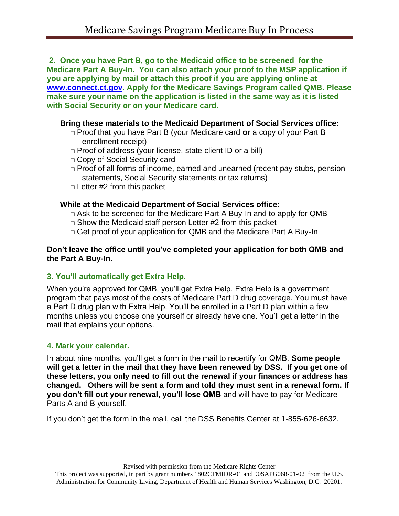**2. Once you have Part B, go to the Medicaid office to be screened for the Medicare Part A Buy-In. You can also attach your proof to the MSP application if you are applying by mail or attach this proof if you are applying online at [www.connect.ct.gov.](http://www.connect.ct.gov/) Apply for the Medicare Savings Program called QMB. Please make sure your name on the application is listed in the same way as it is listed with Social Security or on your Medicare card.**

### **Bring these materials to the Medicaid Department of Social Services office:**

- □ Proof that you have Part B (your Medicare card **or** a copy of your Part B enrollment receipt)
- $\Box$  Proof of address (your license, state client ID or a bill)
- □ Copy of Social Security card
- $\Box$  Proof of all forms of income, earned and unearned (recent pay stubs, pension statements, Social Security statements or tax returns)
- $\Box$  Letter #2 from this packet

### **While at the Medicaid Department of Social Services office:**

- $\Box$  Ask to be screened for the Medicare Part A Buy-In and to apply for QMB
- $\Box$  Show the Medicaid staff person Letter #2 from this packet
- □ Get proof of your application for QMB and the Medicare Part A Buy-In

### **Don't leave the office until you've completed your application for both QMB and the Part A Buy-In.**

## **3. You'll automatically get Extra Help.**

When you're approved for QMB, you'll get Extra Help. Extra Help is a government program that pays most of the costs of Medicare Part D drug coverage. You must have a Part D drug plan with Extra Help. You'll be enrolled in a Part D plan within a few months unless you choose one yourself or already have one. You'll get a letter in the mail that explains your options.

## **4. Mark your calendar.**

In about nine months, you'll get a form in the mail to recertify for QMB. **Some people will get a letter in the mail that they have been renewed by DSS. If you get one of these letters, you only need to fill out the renewal if your finances or address has changed. Others will be sent a form and told they must sent in a renewal form. If you don't fill out your renewal, you'll lose QMB** and will have to pay for Medicare Parts A and B yourself.

If you don't get the form in the mail, call the DSS Benefits Center at 1-855-626-6632.

Revised with permission from the Medicare Rights Center This project was supported, in part by grant numbers 1802CTMIDR-01 and 90SAPG068-01-02 from the U.S. Administration for Community Living, Department of Health and Human Services Washington, D.C. 20201.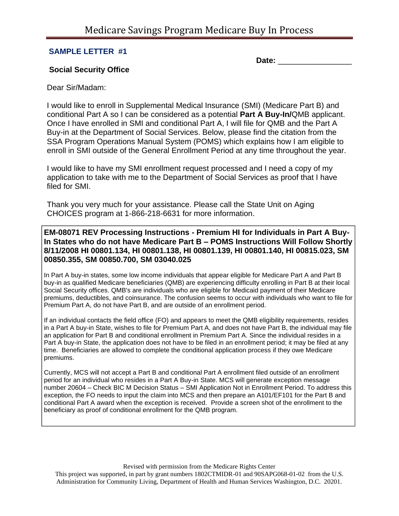#### **SAMPLE LETTER #1**

**Date:**  $\blacksquare$ 

#### **Social Security Office**

Dear Sir/Madam:

I would like to enroll in Supplemental Medical Insurance (SMI) (Medicare Part B) and conditional Part A so I can be considered as a potential **Part A Buy-In/**QMB applicant. Once I have enrolled in SMI and conditional Part A, I will file for QMB and the Part A Buy-in at the Department of Social Services. Below, please find the citation from the SSA Program Operations Manual System (POMS) which explains how I am eligible to enroll in SMI outside of the General Enrollment Period at any time throughout the year.

I would like to have my SMI enrollment request processed and I need a copy of my application to take with me to the Department of Social Services as proof that I have filed for SMI.

Thank you very much for your assistance. Please call the State Unit on Aging CHOICES program at 1-866-218-6631 for more information.

**EM-08071 REV Processing Instructions - Premium HI for Individuals in Part A Buy-In States who do not have Medicare Part B – POMS Instructions Will Follow Shortly 8/11/2008 HI 00801.134, HI 00801.138, HI 00801.139, HI 00801.140, HI 00815.023, SM 00850.355, SM 00850.700, SM 03040.025**

In Part A buy-in states, some low income individuals that appear eligible for Medicare Part A and Part B buy-in as qualified Medicare beneficiaries (QMB) are experiencing difficulty enrolling in Part B at their local Social Security offices. QMB's are individuals who are eligible for Medicaid payment of their Medicare premiums, deductibles, and coinsurance. The confusion seems to occur with individuals who want to file for Premium Part A, do not have Part B, and are outside of an enrollment period.

If an individual contacts the field office (FO) and appears to meet the QMB eligibility requirements, resides in a Part A buy-in State, wishes to file for Premium Part A, and does not have Part B, the individual may file an application for Part B and conditional enrollment in Premium Part A. Since the individual resides in a Part A buy-in State, the application does not have to be filed in an enrollment period; it may be filed at any time. Beneficiaries are allowed to complete the conditional application process if they owe Medicare premiums.

Currently, MCS will not accept a Part B and conditional Part A enrollment filed outside of an enrollment period for an individual who resides in a Part A Buy-in State. MCS will generate exception message number 20604 – Check BIC M Decision Status – SMI Application Not in Enrollment Period. To address this exception, the FO needs to input the claim into MCS and then prepare an A101/EF101 for the Part B and conditional Part A award when the exception is received. Provide a screen shot of the enrollment to the beneficiary as proof of conditional enrollment for the QMB program.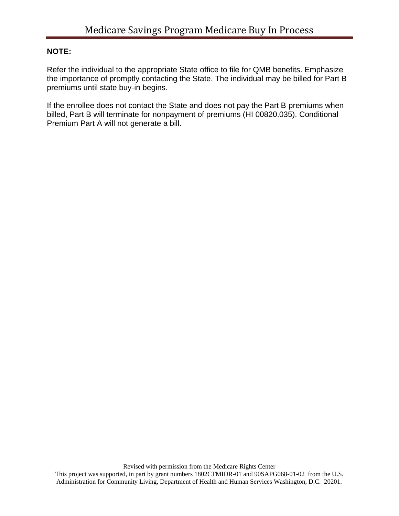## **NOTE:**

Refer the individual to the appropriate State office to file for QMB benefits. Emphasize the importance of promptly contacting the State. The individual may be billed for Part B premiums until state buy-in begins.

If the enrollee does not contact the State and does not pay the Part B premiums when billed, Part B will terminate for nonpayment of premiums (HI 00820.035). Conditional Premium Part A will not generate a bill.